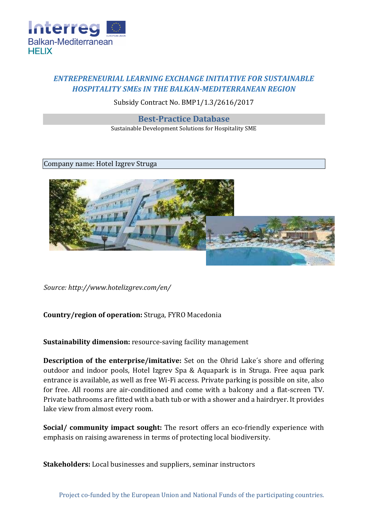

# *ENTREPRENEURIAL LEARNING EXCHANGE INITIATIVE FOR SUSTAINABLE HOSPITALITY SMEs IN THE BALKAN-MEDITERRANEAN REGION*

## Subsidy Contract No. BMP1/1.3/2616/2017

#### **Best-Practice Database**

Sustainable Development Solutions for Hospitality SME

#### Company name: Hotel Izgrev Struga



*Source:<http://www.hotelizgrev.com/en/>*

### **Country/region of operation:** Struga, FYRO Macedonia

**Sustainability dimension:** resource-saving facility management

**Description of the enterprise/imitative:** Set on the Ohrid Lake's shore and offering outdoor and indoor pools, Hotel Izgrev Spa & Aquapark is in Struga. Free aqua park entrance is available, as well as free Wi-Fi access. Private parking is possible on site, also for free. All rooms are air-conditioned and come with a balcony and a flat-screen TV. Private bathrooms are fitted with a bath tub or with a shower and a hairdryer. It provides lake view from almost every room.

**Social/ community impact sought:** The resort offers an eco-friendly experience with emphasis on raising awareness in terms of protecting local biodiversity.

**Stakeholders:** Local businesses and suppliers, seminar instructors